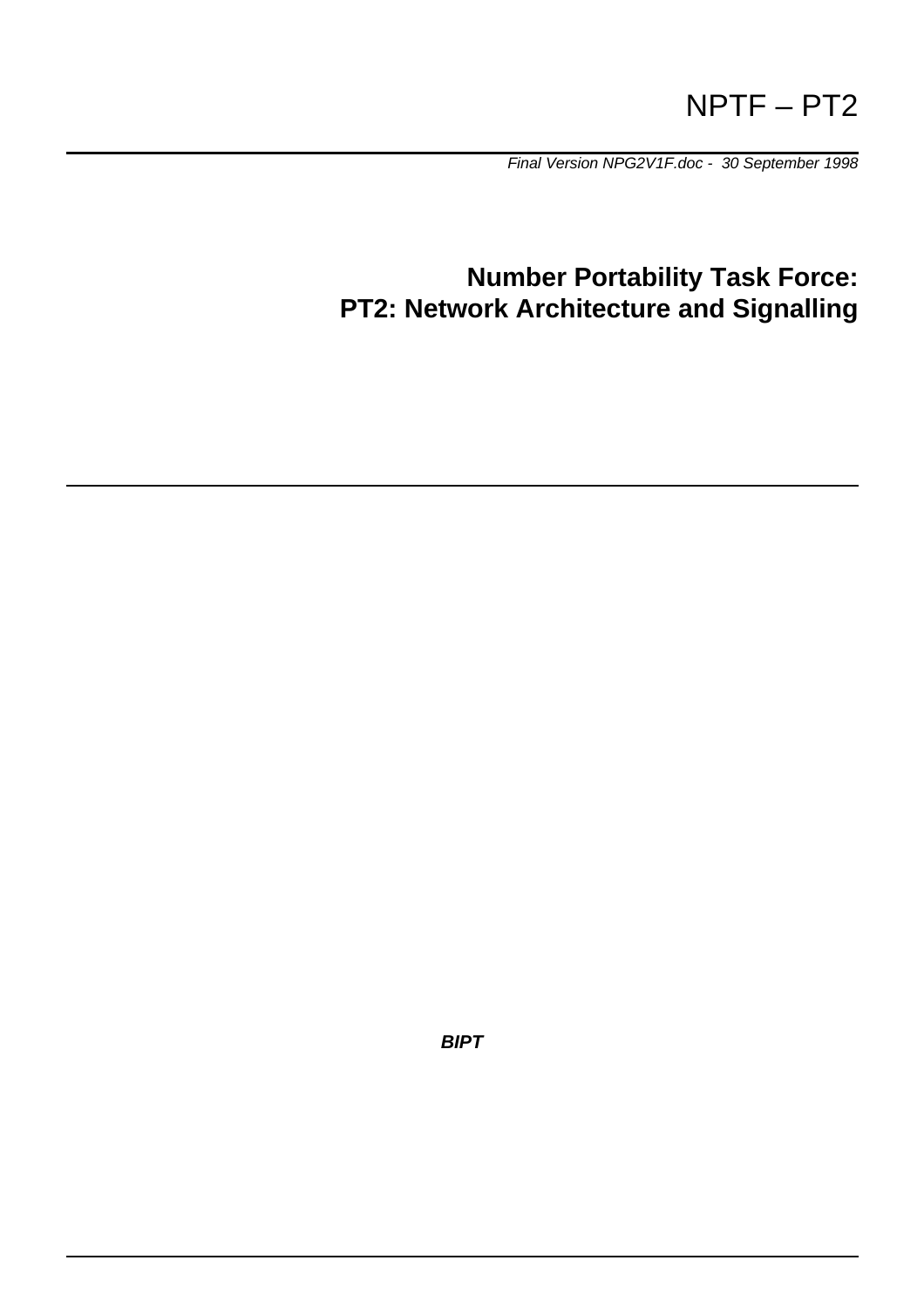# NPTF – PT2

*Final Version NPG2V1F.doc - 30 September 1998*

# **Number Portability Task Force: PT2: Network Architecture and Signalling**

*BIPT*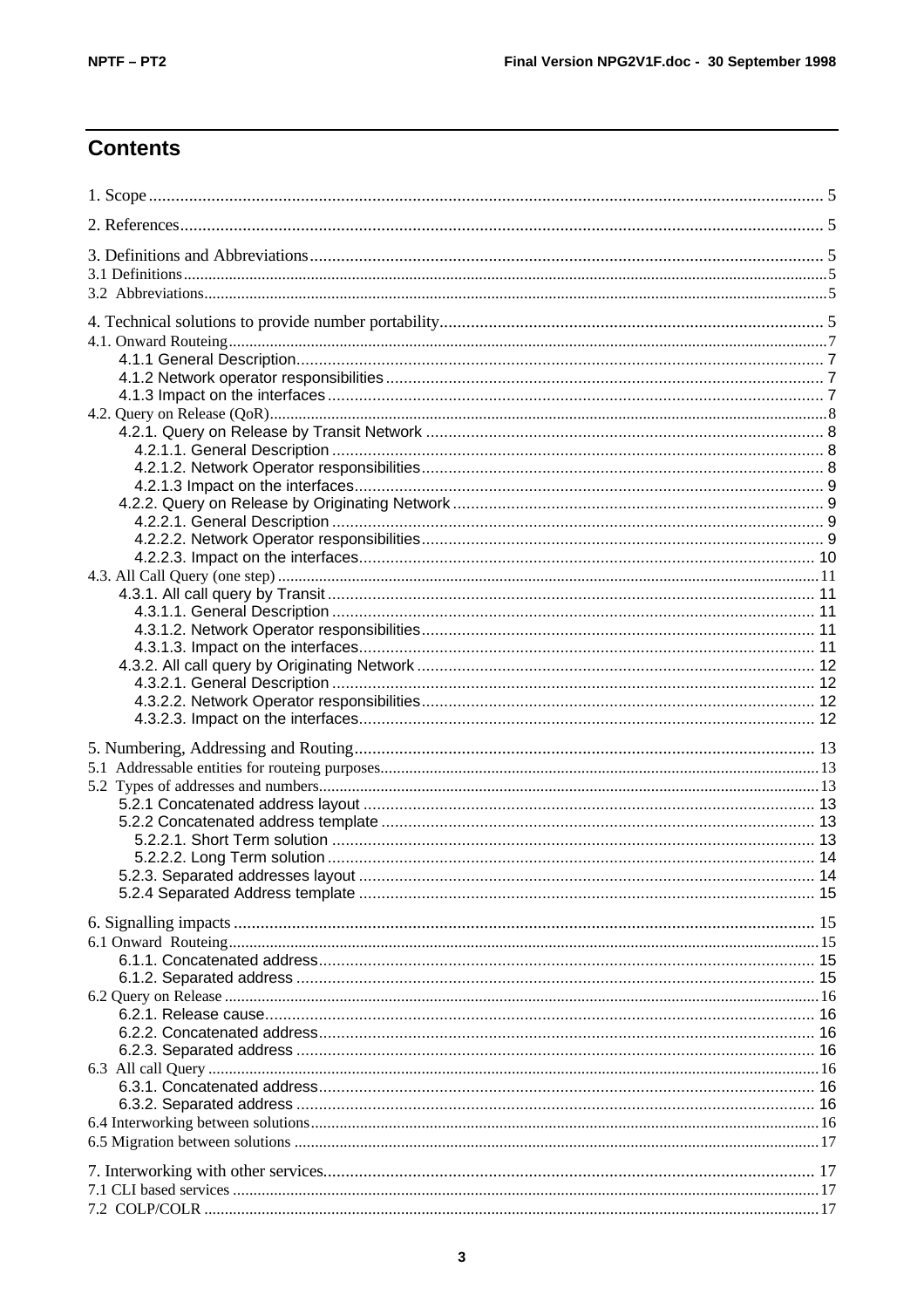# **Contents**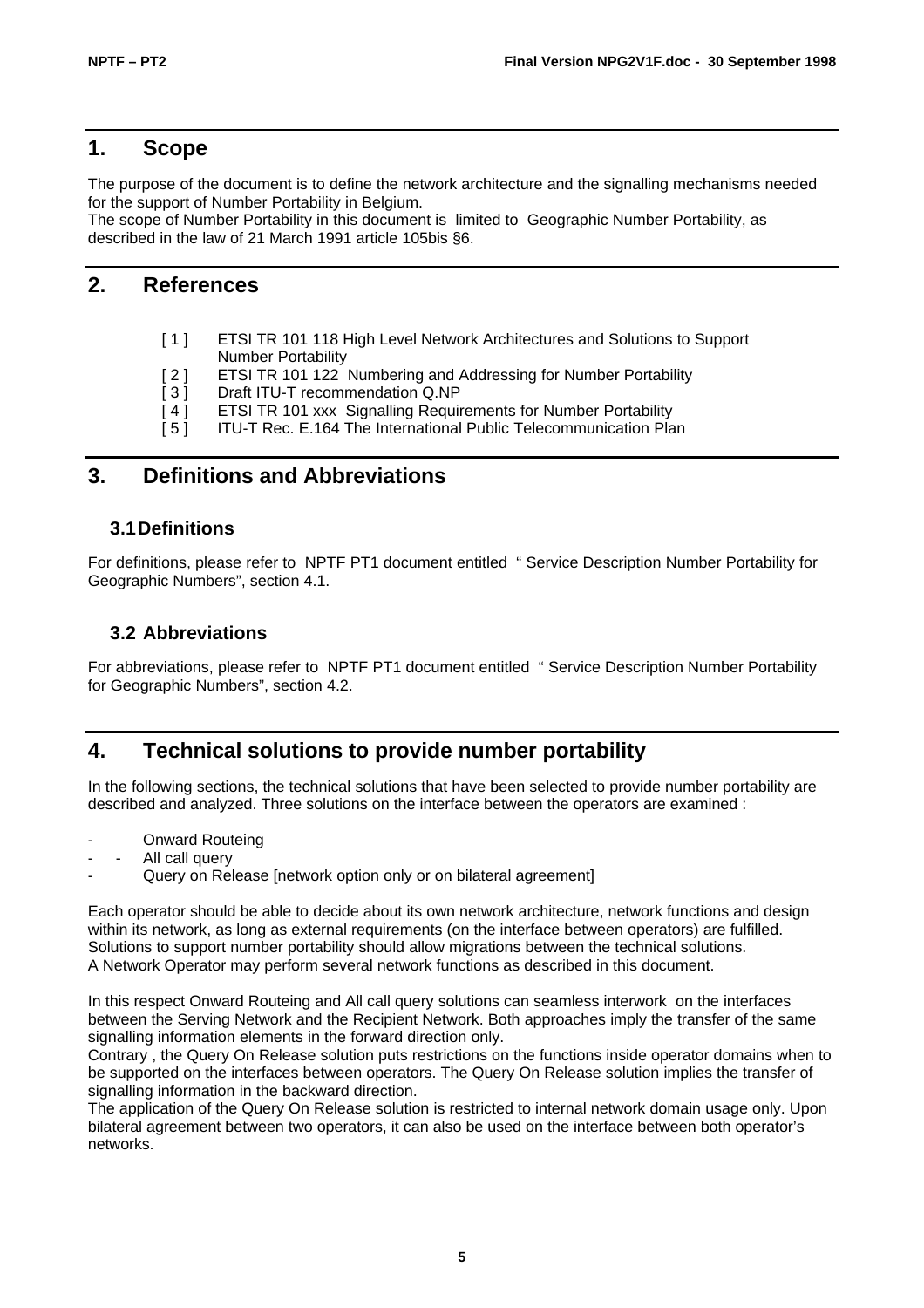# **1. Scope**

The purpose of the document is to define the network architecture and the signalling mechanisms needed for the support of Number Portability in Belgium.

The scope of Number Portability in this document is limited to Geographic Number Portability, as described in the law of 21 March 1991 article 105bis §6.

# **2. References**

- [1] ETSI TR 101 118 High Level Network Architectures and Solutions to Support Number Portability
- [ 2 ] ETSI TR 101 122 Numbering and Addressing for Number Portability
- [3] Draft ITU-T recommendation Q.NP
- [4] ETSI TR 101 xxx Signalling Requirements for Number Portability
- [5] ITU-T Rec. E.164 The International Public Telecommunication Plan

# **3. Definitions and Abbreviations**

# **3.1Definitions**

For definitions, please refer to NPTF PT1 document entitled " Service Description Number Portability for Geographic Numbers", section 4.1.

# **3.2 Abbreviations**

For abbreviations, please refer to NPTF PT1 document entitled " Service Description Number Portability for Geographic Numbers", section 4.2.

# **4. Technical solutions to provide number portability**

In the following sections, the technical solutions that have been selected to provide number portability are described and analyzed. Three solutions on the interface between the operators are examined :

- **Onward Routeing**
- All call query
- Query on Release [network option only or on bilateral agreement]

Each operator should be able to decide about its own network architecture, network functions and design within its network, as long as external requirements (on the interface between operators) are fulfilled. Solutions to support number portability should allow migrations between the technical solutions. A Network Operator may perform several network functions as described in this document.

In this respect Onward Routeing and All call query solutions can seamless interwork on the interfaces between the Serving Network and the Recipient Network. Both approaches imply the transfer of the same signalling information elements in the forward direction only.

Contrary , the Query On Release solution puts restrictions on the functions inside operator domains when to be supported on the interfaces between operators. The Query On Release solution implies the transfer of signalling information in the backward direction.

The application of the Query On Release solution is restricted to internal network domain usage only. Upon bilateral agreement between two operators, it can also be used on the interface between both operator's networks.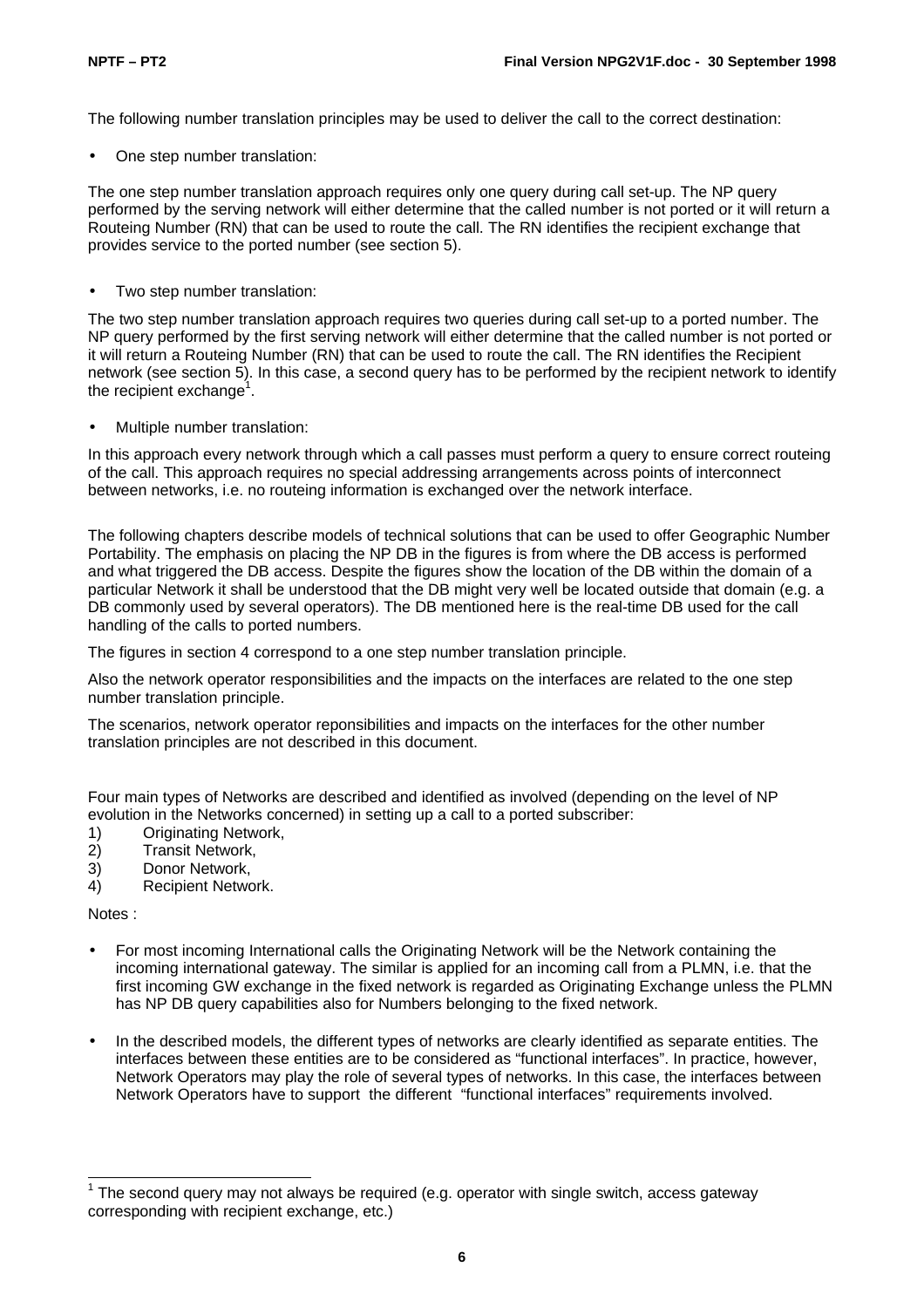The following number translation principles may be used to deliver the call to the correct destination:

One step number translation:

The one step number translation approach requires only one query during call set-up. The NP query performed by the serving network will either determine that the called number is not ported or it will return a Routeing Number (RN) that can be used to route the call. The RN identifies the recipient exchange that provides service to the ported number (see section 5).

Two step number translation:

The two step number translation approach requires two queries during call set-up to a ported number. The NP query performed by the first serving network will either determine that the called number is not ported or it will return a Routeing Number (RN) that can be used to route the call. The RN identifies the Recipient network (see section 5). In this case, a second query has to be performed by the recipient network to identify the recipient exchange<sup>1</sup>.

• Multiple number translation:

In this approach every network through which a call passes must perform a query to ensure correct routeing of the call. This approach requires no special addressing arrangements across points of interconnect between networks, i.e. no routeing information is exchanged over the network interface.

The following chapters describe models of technical solutions that can be used to offer Geographic Number Portability. The emphasis on placing the NP DB in the figures is from where the DB access is performed and what triggered the DB access. Despite the figures show the location of the DB within the domain of a particular Network it shall be understood that the DB might very well be located outside that domain (e.g. a DB commonly used by several operators). The DB mentioned here is the real-time DB used for the call handling of the calls to ported numbers.

The figures in section 4 correspond to a one step number translation principle.

Also the network operator responsibilities and the impacts on the interfaces are related to the one step number translation principle.

The scenarios, network operator reponsibilities and impacts on the interfaces for the other number translation principles are not described in this document.

Four main types of Networks are described and identified as involved (depending on the level of NP evolution in the Networks concerned) in setting up a call to a ported subscriber:

- 1) Originating Network,
- 2) Transit Network,
- 3) Donor Network,
- 4) Recipient Network.

Notes :

- For most incoming International calls the Originating Network will be the Network containing the incoming international gateway. The similar is applied for an incoming call from a PLMN, i.e. that the first incoming GW exchange in the fixed network is regarded as Originating Exchange unless the PLMN has NP DB query capabilities also for Numbers belonging to the fixed network.
- In the described models, the different types of networks are clearly identified as separate entities. The interfaces between these entities are to be considered as "functional interfaces". In practice, however, Network Operators may play the role of several types of networks. In this case, the interfaces between Network Operators have to support the different "functional interfaces" requirements involved.

<sup>————————————————————&</sup>lt;br><sup>1</sup> The second query may not always be required (e.g. operator with single switch, access gateway corresponding with recipient exchange, etc.)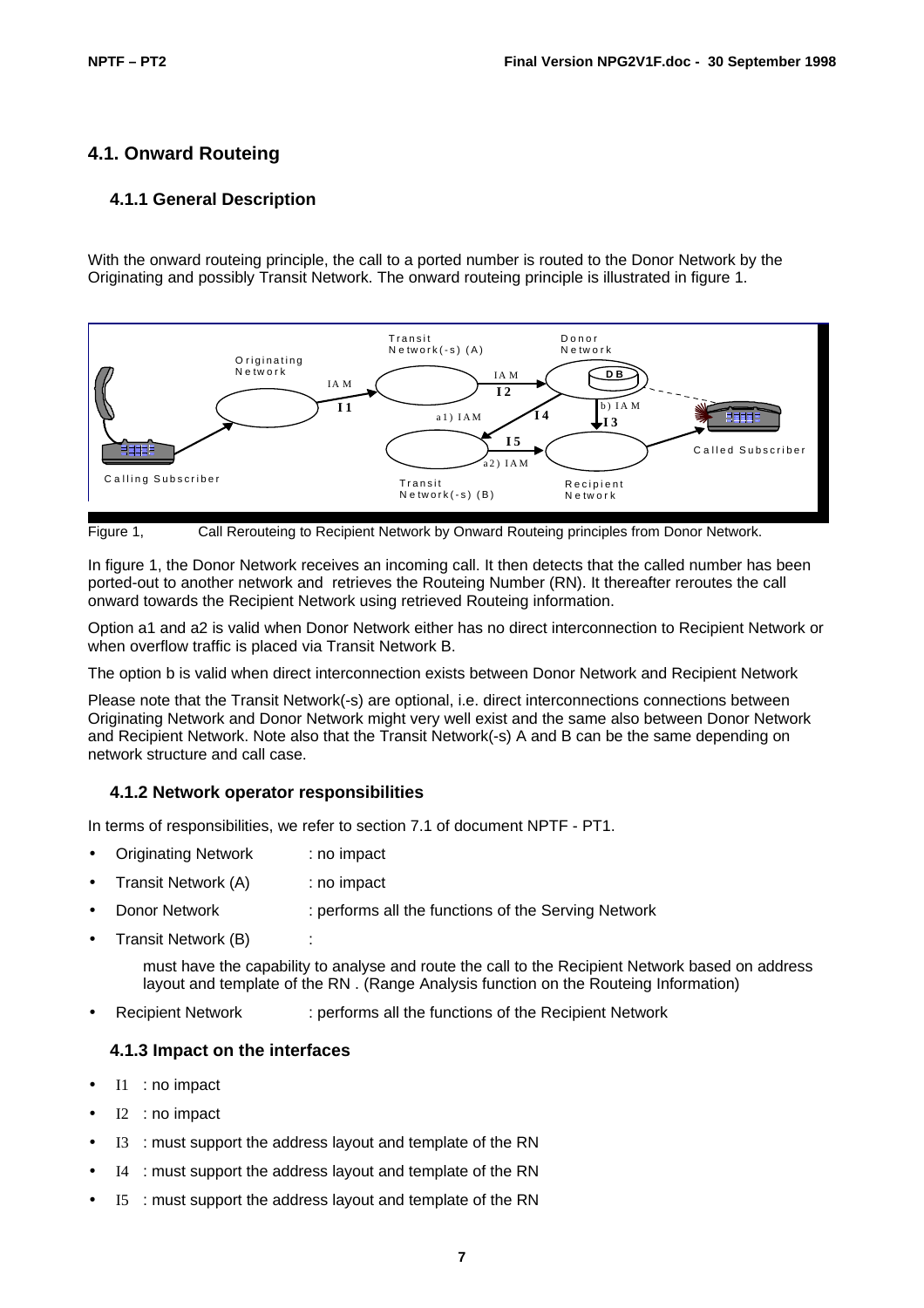# **4.1. Onward Routeing**

#### **4.1.1 General Description**

With the onward routeing principle, the call to a ported number is routed to the Donor Network by the Originating and possibly Transit Network. The onward routeing principle is illustrated in figure 1.





In figure 1, the Donor Network receives an incoming call. It then detects that the called number has been ported-out to another network and retrieves the Routeing Number (RN). It thereafter reroutes the call onward towards the Recipient Network using retrieved Routeing information.

Option a1 and a2 is valid when Donor Network either has no direct interconnection to Recipient Network or when overflow traffic is placed via Transit Network B.

The option b is valid when direct interconnection exists between Donor Network and Recipient Network

Please note that the Transit Network(-s) are optional, i.e. direct interconnections connections between Originating Network and Donor Network might very well exist and the same also between Donor Network and Recipient Network. Note also that the Transit Network(-s) A and B can be the same depending on network structure and call case.

#### **4.1.2 Network operator responsibilities**

In terms of responsibilities, we refer to section 7.1 of document NPTF - PT1.

- Originating Network : no impact
- Transit Network (A) : no impact
- Donor Network : performs all the functions of the Serving Network
- Transit Network (B)

must have the capability to analyse and route the call to the Recipient Network based on address layout and template of the RN . (Range Analysis function on the Routeing Information)

• Recipient Network : performs all the functions of the Recipient Network

#### **4.1.3 Impact on the interfaces**

- I1 : no impact
- I2 : no impact
- I3 : must support the address layout and template of the RN
- I4 : must support the address layout and template of the RN
- I5 : must support the address layout and template of the RN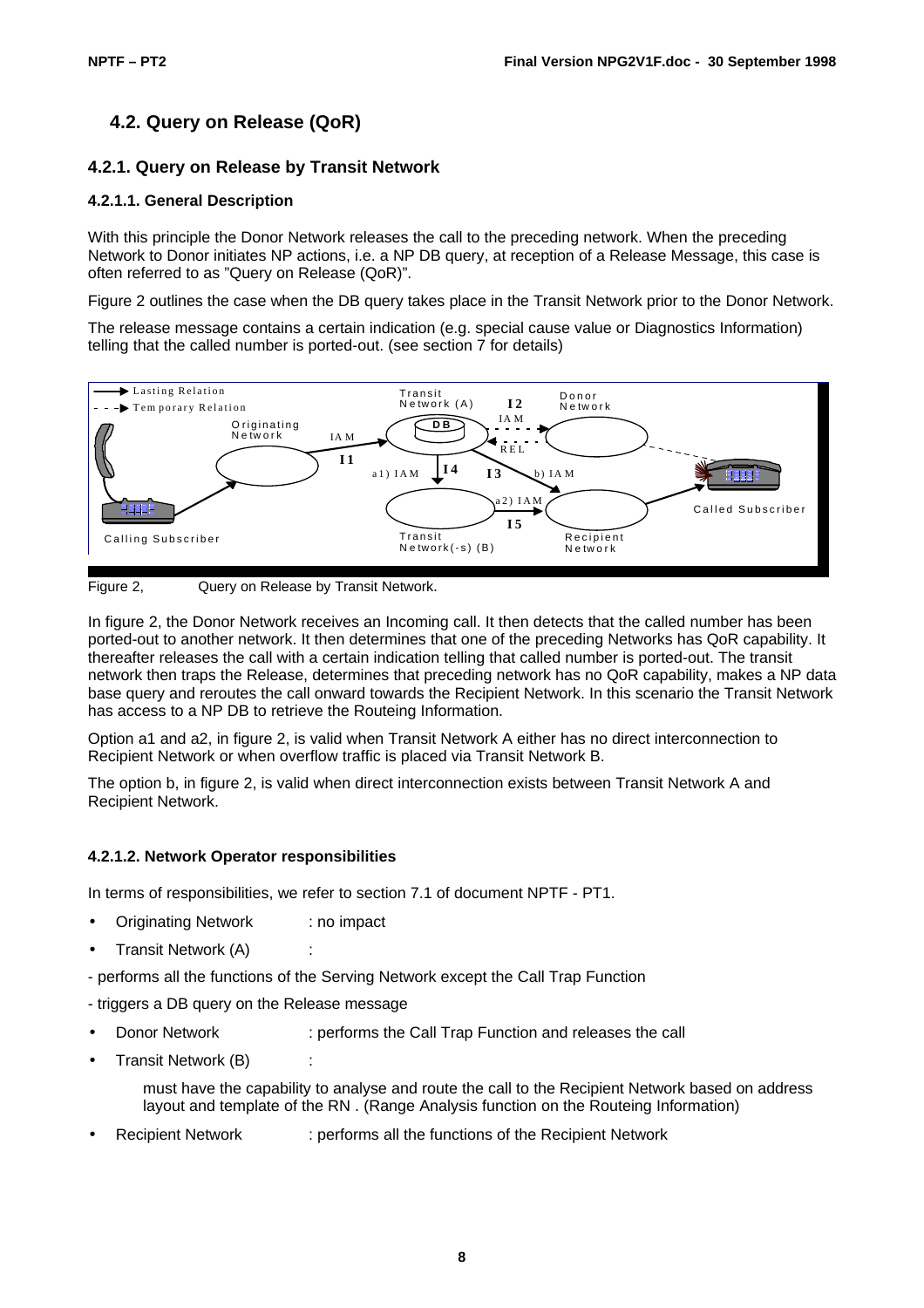# **4.2. Query on Release (QoR)**

### **4.2.1. Query on Release by Transit Network**

#### **4.2.1.1. General Description**

With this principle the Donor Network releases the call to the preceding network. When the preceding Network to Donor initiates NP actions, i.e. a NP DB query, at reception of a Release Message, this case is often referred to as "Query on Release (QoR)".

Figure 2 outlines the case when the DB query takes place in the Transit Network prior to the Donor Network.

The release message contains a certain indication (e.g. special cause value or Diagnostics Information) telling that the called number is ported-out. (see section 7 for details)



Figure 2, Query on Release by Transit Network.

In figure 2, the Donor Network receives an Incoming call. It then detects that the called number has been ported-out to another network. It then determines that one of the preceding Networks has QoR capability. It thereafter releases the call with a certain indication telling that called number is ported-out. The transit network then traps the Release, determines that preceding network has no QoR capability, makes a NP data base query and reroutes the call onward towards the Recipient Network. In this scenario the Transit Network has access to a NP DB to retrieve the Routeing Information.

Option a1 and a2, in figure 2, is valid when Transit Network A either has no direct interconnection to Recipient Network or when overflow traffic is placed via Transit Network B.

The option b, in figure 2, is valid when direct interconnection exists between Transit Network A and Recipient Network.

#### **4.2.1.2. Network Operator responsibilities**

In terms of responsibilities, we refer to section 7.1 of document NPTF - PT1.

- Originating Network : no impact
- Transit Network (A) :
- performs all the functions of the Serving Network except the Call Trap Function
- triggers a DB query on the Release message
- Donor Network : performs the Call Trap Function and releases the call
- Transit Network (B) :
	- must have the capability to analyse and route the call to the Recipient Network based on address layout and template of the RN . (Range Analysis function on the Routeing Information)
- Recipient Network : performs all the functions of the Recipient Network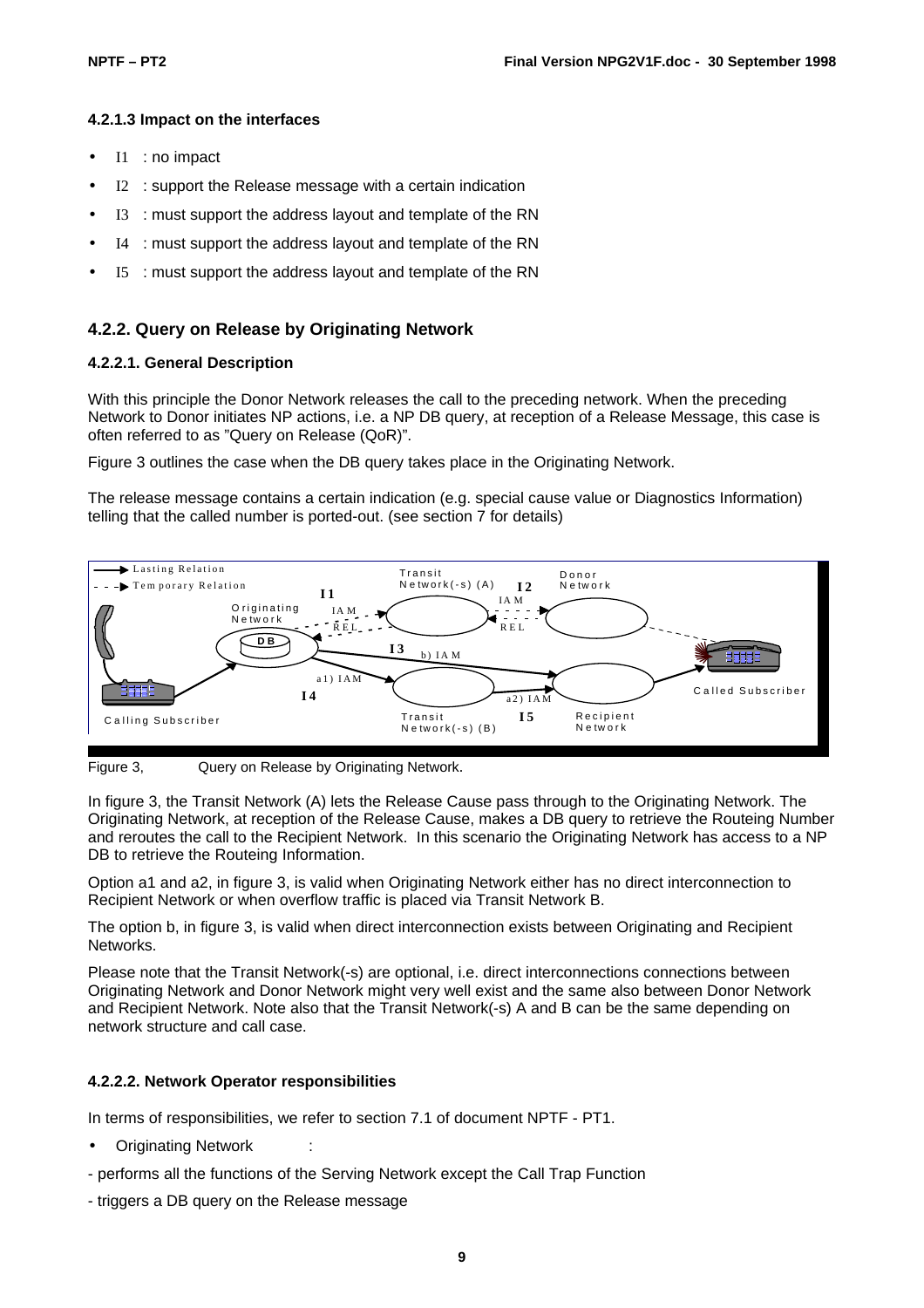#### **4.2.1.3 Impact on the interfaces**

- I1 : no impact
- $I2$ : support the Release message with a certain indication
- I3 : must support the address layout and template of the RN
- I4 : must support the address layout and template of the RN
- I5 : must support the address layout and template of the RN

#### **4.2.2. Query on Release by Originating Network**

#### **4.2.2.1. General Description**

With this principle the Donor Network releases the call to the preceding network. When the preceding Network to Donor initiates NP actions, i.e. a NP DB query, at reception of a Release Message, this case is often referred to as "Query on Release (QoR)".

Figure 3 outlines the case when the DB query takes place in the Originating Network.

The release message contains a certain indication (e.g. special cause value or Diagnostics Information) telling that the called number is ported-out. (see section 7 for details)



Figure 3, Query on Release by Originating Network.

In figure 3, the Transit Network (A) lets the Release Cause pass through to the Originating Network. The Originating Network, at reception of the Release Cause, makes a DB query to retrieve the Routeing Number and reroutes the call to the Recipient Network. In this scenario the Originating Network has access to a NP DB to retrieve the Routeing Information.

Option a1 and a2, in figure 3, is valid when Originating Network either has no direct interconnection to Recipient Network or when overflow traffic is placed via Transit Network B.

The option b, in figure 3, is valid when direct interconnection exists between Originating and Recipient Networks.

Please note that the Transit Network(-s) are optional, i.e. direct interconnections connections between Originating Network and Donor Network might very well exist and the same also between Donor Network and Recipient Network. Note also that the Transit Network(-s) A and B can be the same depending on network structure and call case.

#### **4.2.2.2. Network Operator responsibilities**

In terms of responsibilities, we refer to section 7.1 of document NPTF - PT1.

- **Originating Network**
- performs all the functions of the Serving Network except the Call Trap Function
- triggers a DB query on the Release message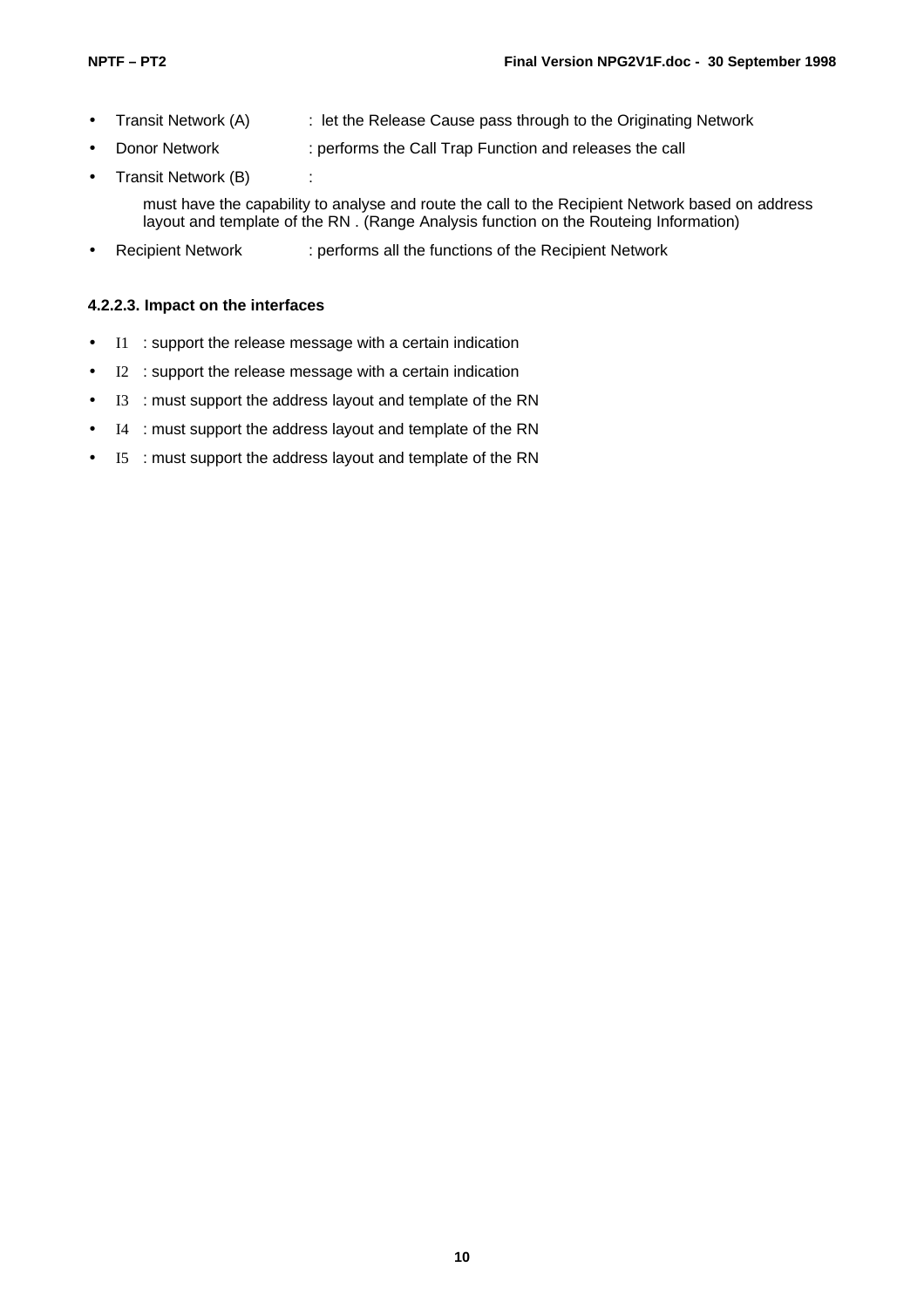- Transit Network (A) : let the Release Cause pass through to the Originating Network
	- Donor Network : performs the Call Trap Function and releases the call
- Transit Network (B) :

must have the capability to analyse and route the call to the Recipient Network based on address layout and template of the RN . (Range Analysis function on the Routeing Information)

• Recipient Network : performs all the functions of the Recipient Network

#### **4.2.2.3. Impact on the interfaces**

- I1 : support the release message with a certain indication
- I2 : support the release message with a certain indication
- I3 : must support the address layout and template of the RN
- I4 : must support the address layout and template of the RN
- I5 : must support the address layout and template of the RN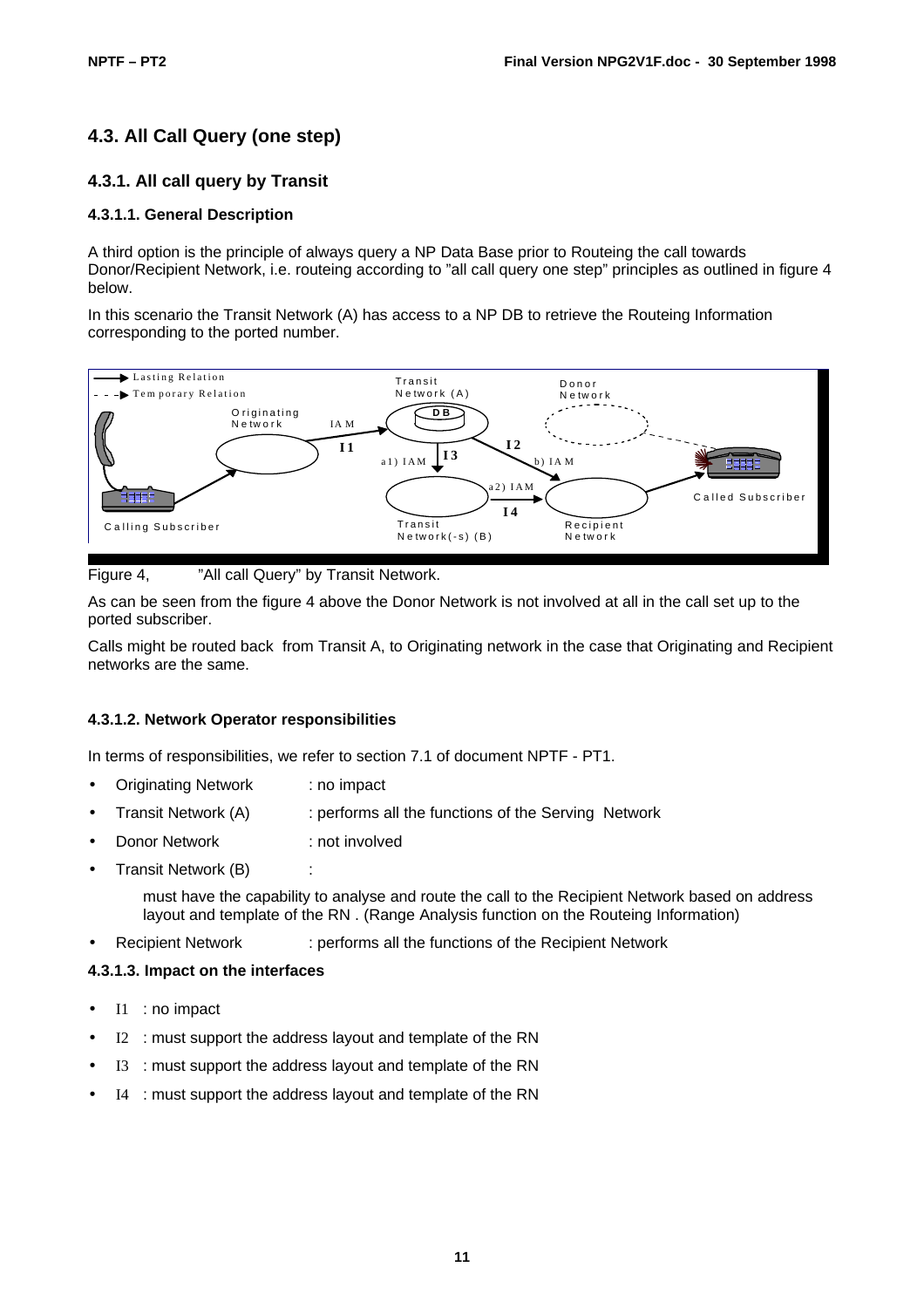# **4.3. All Call Query (one step)**

### **4.3.1. All call query by Transit**

#### **4.3.1.1. General Description**

A third option is the principle of always query a NP Data Base prior to Routeing the call towards Donor/Recipient Network, i.e. routeing according to "all call query one step" principles as outlined in figure 4 below.

In this scenario the Transit Network (A) has access to a NP DB to retrieve the Routeing Information corresponding to the ported number.



Figure 4, "All call Query" by Transit Network.

As can be seen from the figure 4 above the Donor Network is not involved at all in the call set up to the ported subscriber.

Calls might be routed back from Transit A, to Originating network in the case that Originating and Recipient networks are the same.

#### **4.3.1.2. Network Operator responsibilities**

In terms of responsibilities, we refer to section 7.1 of document NPTF - PT1.

- Originating Network : no impact
- Transit Network (A) : performs all the functions of the Serving Network
- **Donor Network : not involved**
- Transit Network (B)

must have the capability to analyse and route the call to the Recipient Network based on address layout and template of the RN . (Range Analysis function on the Routeing Information)

• Recipient Network : performs all the functions of the Recipient Network

#### **4.3.1.3. Impact on the interfaces**

- I1 : no impact
- I2 : must support the address layout and template of the RN
- I3 : must support the address layout and template of the RN
- I4 : must support the address layout and template of the RN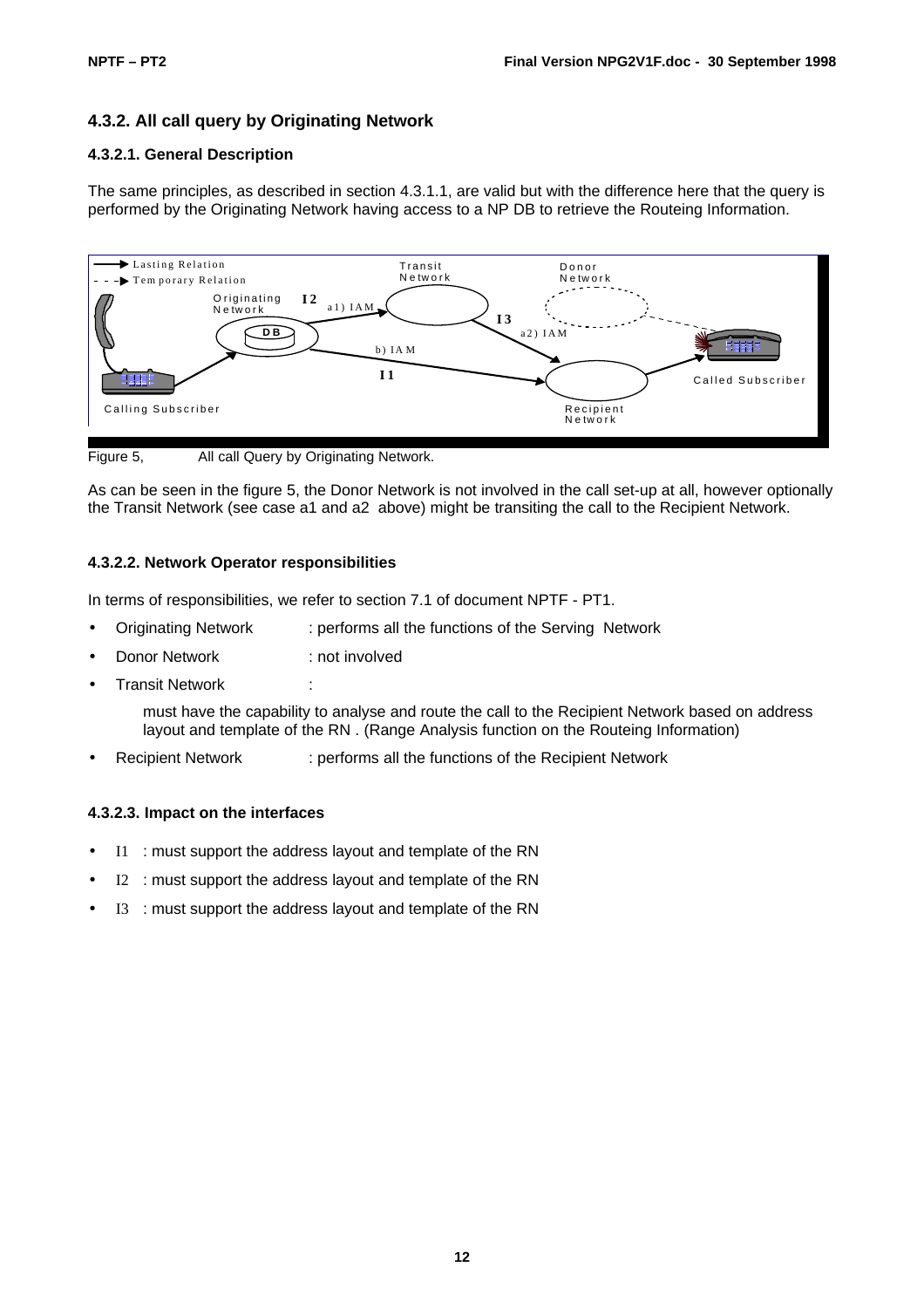# **4.3.2. All call query by Originating Network**

#### **4.3.2.1. General Description**

The same principles, as described in section 4.3.1.1, are valid but with the difference here that the query is performed by the Originating Network having access to a NP DB to retrieve the Routeing Information.



Figure 5, All call Query by Originating Network.

As can be seen in the figure 5, the Donor Network is not involved in the call set-up at all, however optionally the Transit Network (see case a1 and a2 above) might be transiting the call to the Recipient Network.

#### **4.3.2.2. Network Operator responsibilities**

In terms of responsibilities, we refer to section 7.1 of document NPTF - PT1.

- Originating Network : performs all the functions of the Serving Network
- Donor Network : not involved
- **Transit Network**

must have the capability to analyse and route the call to the Recipient Network based on address layout and template of the RN . (Range Analysis function on the Routeing Information)

• Recipient Network : performs all the functions of the Recipient Network

#### **4.3.2.3. Impact on the interfaces**

- I1 : must support the address layout and template of the RN
- I2 : must support the address layout and template of the RN
- I3 : must support the address layout and template of the RN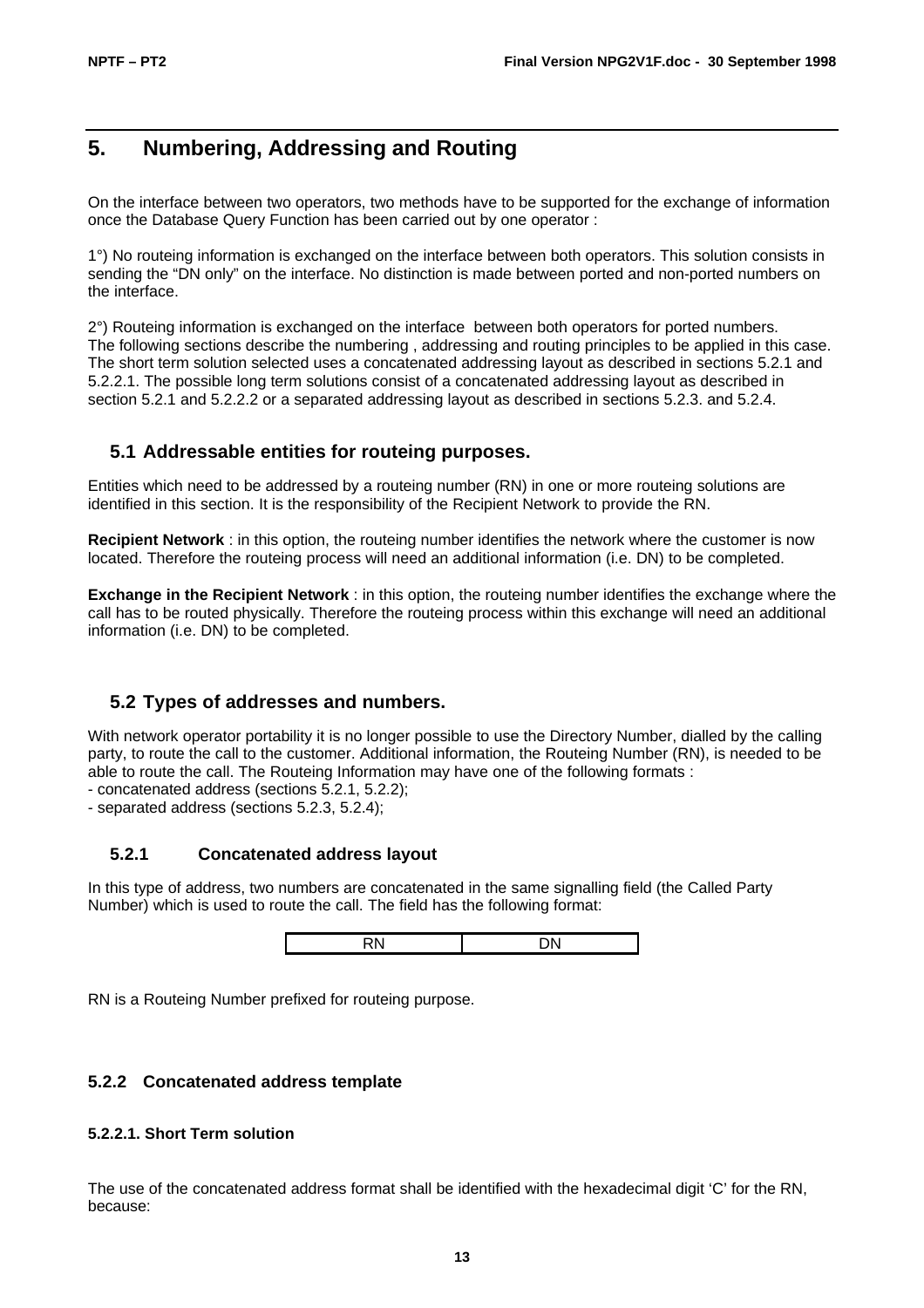# **5. Numbering, Addressing and Routing**

On the interface between two operators, two methods have to be supported for the exchange of information once the Database Query Function has been carried out by one operator :

1°) No routeing information is exchanged on the interface between both operators. This solution consists in sending the "DN only" on the interface. No distinction is made between ported and non-ported numbers on the interface.

2°) Routeing information is exchanged on the interface between both operators for ported numbers. The following sections describe the numbering , addressing and routing principles to be applied in this case. The short term solution selected uses a concatenated addressing layout as described in sections 5.2.1 and 5.2.2.1. The possible long term solutions consist of a concatenated addressing layout as described in section 5.2.1 and 5.2.2.2 or a separated addressing layout as described in sections 5.2.3. and 5.2.4.

# **5.1 Addressable entities for routeing purposes.**

Entities which need to be addressed by a routeing number (RN) in one or more routeing solutions are identified in this section. It is the responsibility of the Recipient Network to provide the RN.

**Recipient Network** : in this option, the routeing number identifies the network where the customer is now located. Therefore the routeing process will need an additional information (i.e. DN) to be completed.

**Exchange in the Recipient Network** : in this option, the routeing number identifies the exchange where the call has to be routed physically. Therefore the routeing process within this exchange will need an additional information (i.e. DN) to be completed.

# **5.2 Types of addresses and numbers.**

With network operator portability it is no longer possible to use the Directory Number, dialled by the calling party, to route the call to the customer. Additional information, the Routeing Number (RN), is needed to be able to route the call. The Routeing Information may have one of the following formats :

- concatenated address (sections 5.2.1, 5.2.2);

- separated address (sections 5.2.3, 5.2.4);

#### **5.2.1 Concatenated address layout**

In this type of address, two numbers are concatenated in the same signalling field (the Called Party Number) which is used to route the call. The field has the following format:

|  | . . |  |
|--|-----|--|
|--|-----|--|

RN is a Routeing Number prefixed for routeing purpose.

#### **5.2.2 Concatenated address template**

#### **5.2.2.1. Short Term solution**

The use of the concatenated address format shall be identified with the hexadecimal digit 'C' for the RN, because: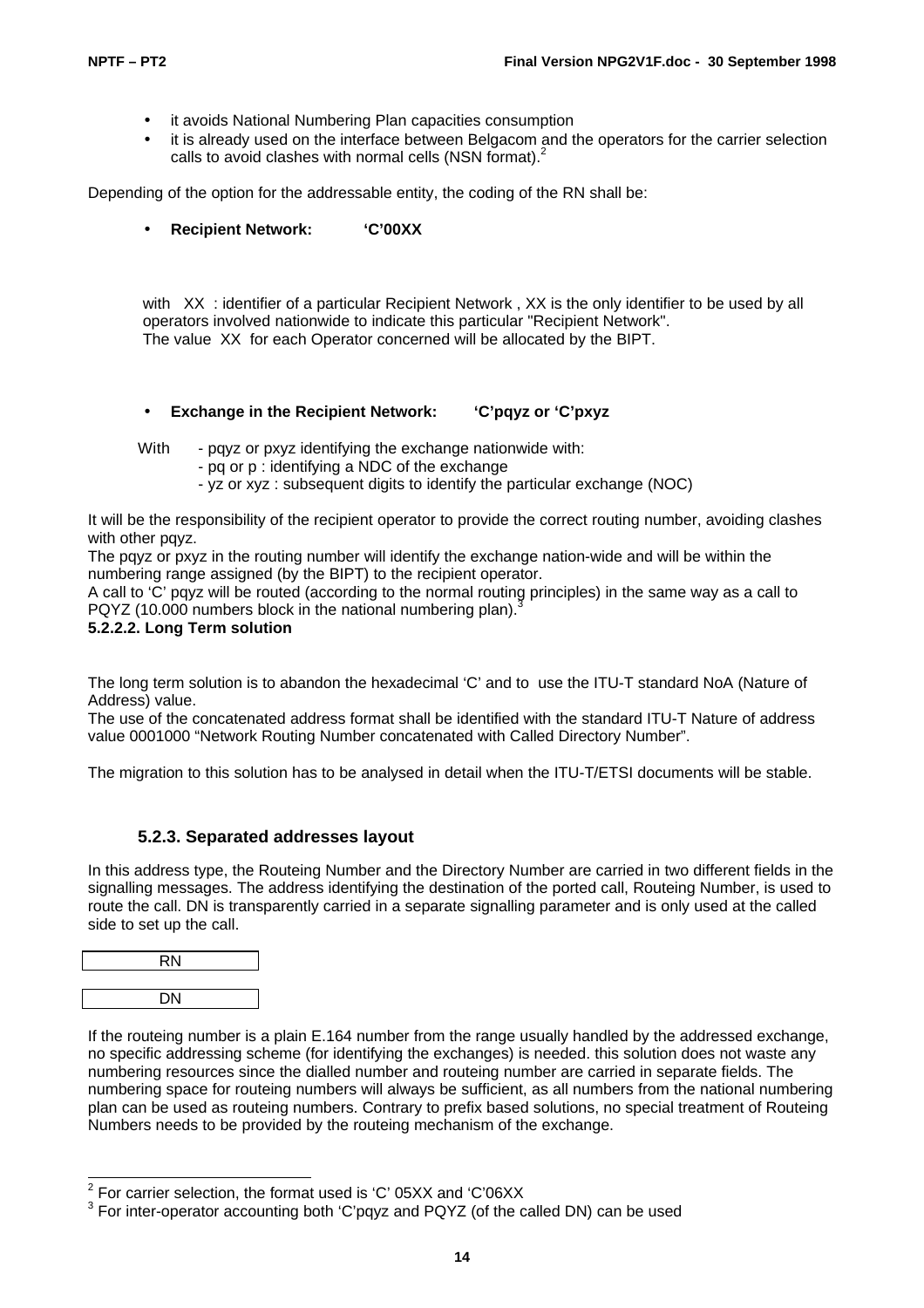- it avoids National Numbering Plan capacities consumption
- it is already used on the interface between Belgacom and the operators for the carrier selection calls to avoid clashes with normal cells (NSN format).<sup>2</sup>

Depending of the option for the addressable entity, the coding of the RN shall be:

• **Recipient Network: 'C'00XX**

with XX : identifier of a particular Recipient Network, XX is the only identifier to be used by all operators involved nationwide to indicate this particular "Recipient Network". The value XX for each Operator concerned will be allocated by the BIPT.

• **Exchange in the Recipient Network: 'C'pqyz or 'C'pxyz**

With - pqyz or pxyz identifying the exchange nationwide with:

- pq or p : identifying a NDC of the exchange
- yz or xyz : subsequent digits to identify the particular exchange (NOC)

It will be the responsibility of the recipient operator to provide the correct routing number, avoiding clashes with other pqyz.

The payz or pxyz in the routing number will identify the exchange nation-wide and will be within the numbering range assigned (by the BIPT) to the recipient operator.

A call to 'C' pqyz will be routed (according to the normal routing principles) in the same way as a call to PQYZ (10.000 numbers block in the national numbering plan).

#### **5.2.2.2. Long Term solution**

The long term solution is to abandon the hexadecimal 'C' and to use the ITU-T standard NoA (Nature of Address) value.

The use of the concatenated address format shall be identified with the standard ITU-T Nature of address value 0001000 "Network Routing Number concatenated with Called Directory Number".

The migration to this solution has to be analysed in detail when the ITU-T/ETSI documents will be stable.

#### **5.2.3. Separated addresses layout**

In this address type, the Routeing Number and the Directory Number are carried in two different fields in the signalling messages. The address identifying the destination of the ported call, Routeing Number, is used to route the call. DN is transparently carried in a separate signalling parameter and is only used at the called side to set up the call.



If the routeing number is a plain E.164 number from the range usually handled by the addressed exchange, no specific addressing scheme (for identifying the exchanges) is needed. this solution does not waste any numbering resources since the dialled number and routeing number are carried in separate fields. The numbering space for routeing numbers will always be sufficient, as all numbers from the national numbering plan can be used as routeing numbers. Contrary to prefix based solutions, no special treatment of Routeing Numbers needs to be provided by the routeing mechanism of the exchange.

 2 For carrier selection, the format used is 'C' 05XX and 'C'06XX

 $3$  For inter-operator accounting both 'C'pqyz and PQYZ (of the called DN) can be used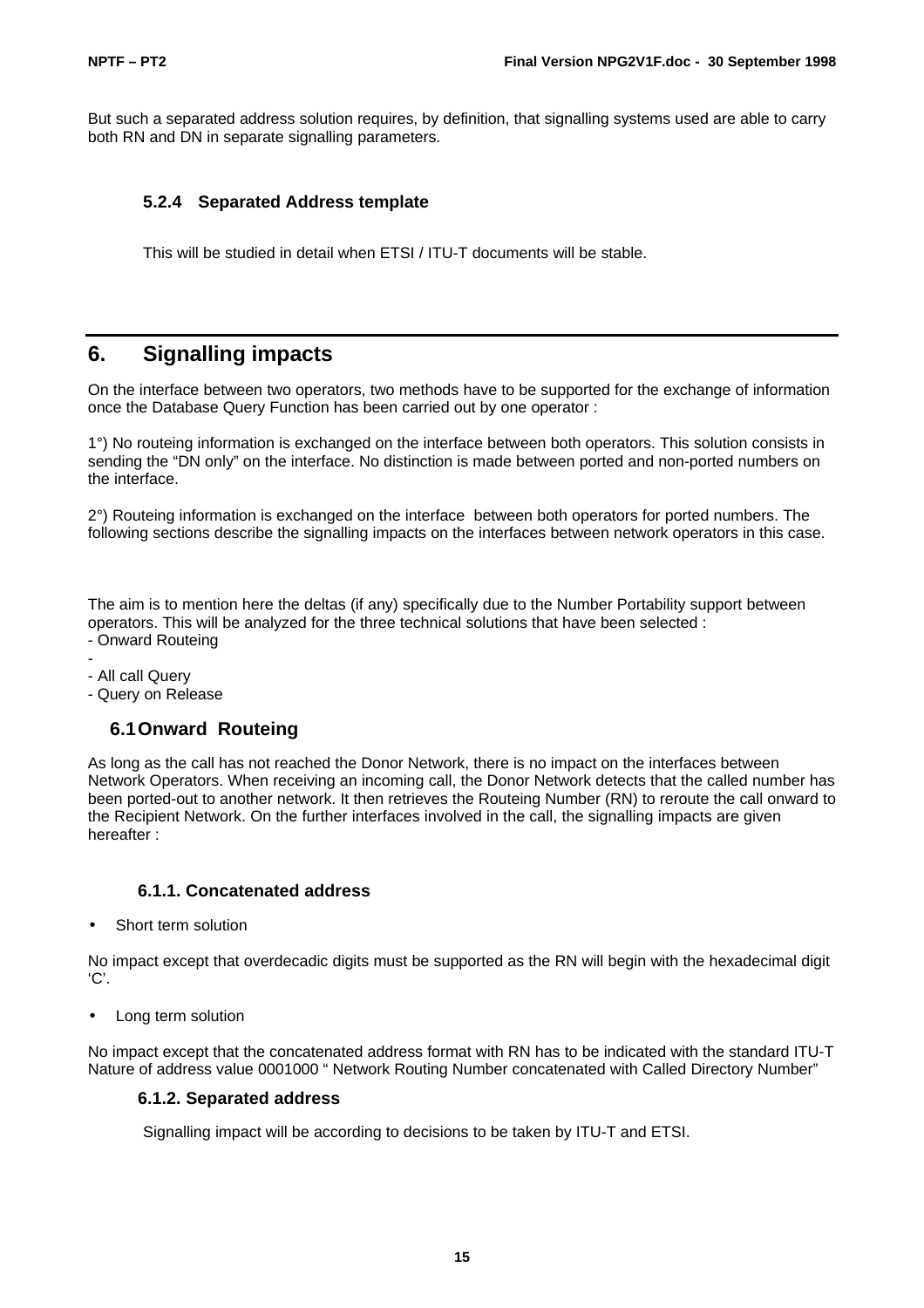But such a separated address solution requires, by definition, that signalling systems used are able to carry both RN and DN in separate signalling parameters.

#### **5.2.4 Separated Address template**

This will be studied in detail when ETSI / ITU-T documents will be stable.

# **6. Signalling impacts**

On the interface between two operators, two methods have to be supported for the exchange of information once the Database Query Function has been carried out by one operator :

1°) No routeing information is exchanged on the interface between both operators. This solution consists in sending the "DN only" on the interface. No distinction is made between ported and non-ported numbers on the interface.

2°) Routeing information is exchanged on the interface between both operators for ported numbers. The following sections describe the signalling impacts on the interfaces between network operators in this case.

The aim is to mention here the deltas (if any) specifically due to the Number Portability support between operators. This will be analyzed for the three technical solutions that have been selected : - Onward Routeing

- -
- All call Query
- Query on Release

# **6.1Onward Routeing**

As long as the call has not reached the Donor Network, there is no impact on the interfaces between Network Operators. When receiving an incoming call, the Donor Network detects that the called number has been ported-out to another network. It then retrieves the Routeing Number (RN) to reroute the call onward to the Recipient Network. On the further interfaces involved in the call, the signalling impacts are given hereafter :

#### **6.1.1. Concatenated address**

Short term solution

No impact except that overdecadic digits must be supported as the RN will begin with the hexadecimal digit 'C'.

• Long term solution

No impact except that the concatenated address format with RN has to be indicated with the standard ITU-T Nature of address value 0001000 " Network Routing Number concatenated with Called Directory Number"

#### **6.1.2. Separated address**

Signalling impact will be according to decisions to be taken by ITU-T and ETSI.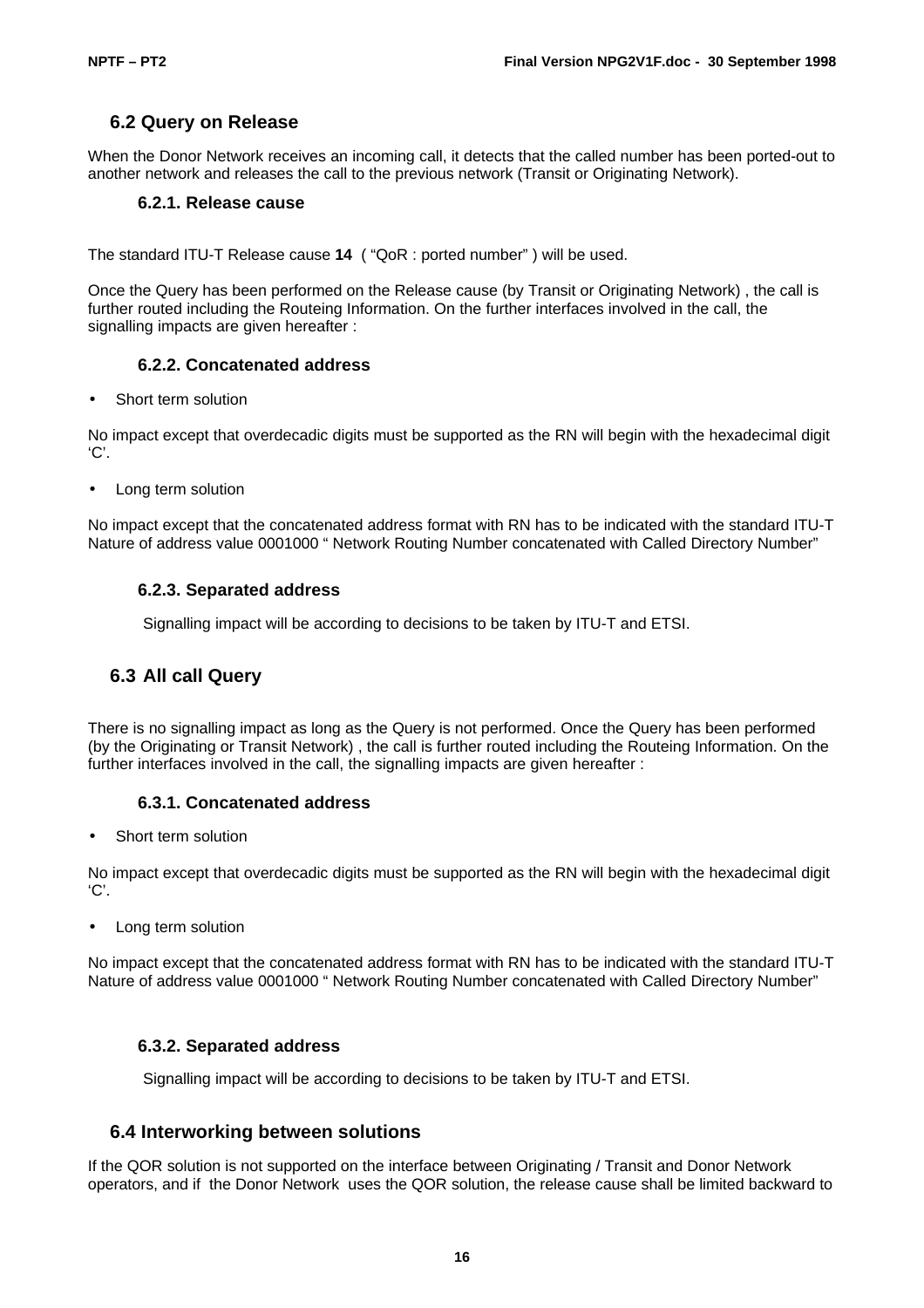# **6.2 Query on Release**

When the Donor Network receives an incoming call, it detects that the called number has been ported-out to another network and releases the call to the previous network (Transit or Originating Network).

#### **6.2.1. Release cause**

The standard ITU-T Release cause **14** ( "QoR : ported number" ) will be used.

Once the Query has been performed on the Release cause (by Transit or Originating Network) , the call is further routed including the Routeing Information. On the further interfaces involved in the call, the signalling impacts are given hereafter :

#### **6.2.2. Concatenated address**

• Short term solution

No impact except that overdecadic digits must be supported as the RN will begin with the hexadecimal digit 'C'.

• Long term solution

No impact except that the concatenated address format with RN has to be indicated with the standard ITU-T Nature of address value 0001000 " Network Routing Number concatenated with Called Directory Number"

#### **6.2.3. Separated address**

Signalling impact will be according to decisions to be taken by ITU-T and ETSI.

# **6.3 All call Query**

There is no signalling impact as long as the Query is not performed. Once the Query has been performed (by the Originating or Transit Network) , the call is further routed including the Routeing Information. On the further interfaces involved in the call, the signalling impacts are given hereafter :

#### **6.3.1. Concatenated address**

• Short term solution

No impact except that overdecadic digits must be supported as the RN will begin with the hexadecimal digit  $'C'.$ 

• Long term solution

No impact except that the concatenated address format with RN has to be indicated with the standard ITU-T Nature of address value 0001000 " Network Routing Number concatenated with Called Directory Number"

#### **6.3.2. Separated address**

Signalling impact will be according to decisions to be taken by ITU-T and ETSI.

#### **6.4 Interworking between solutions**

If the QOR solution is not supported on the interface between Originating / Transit and Donor Network operators, and if the Donor Network uses the QOR solution, the release cause shall be limited backward to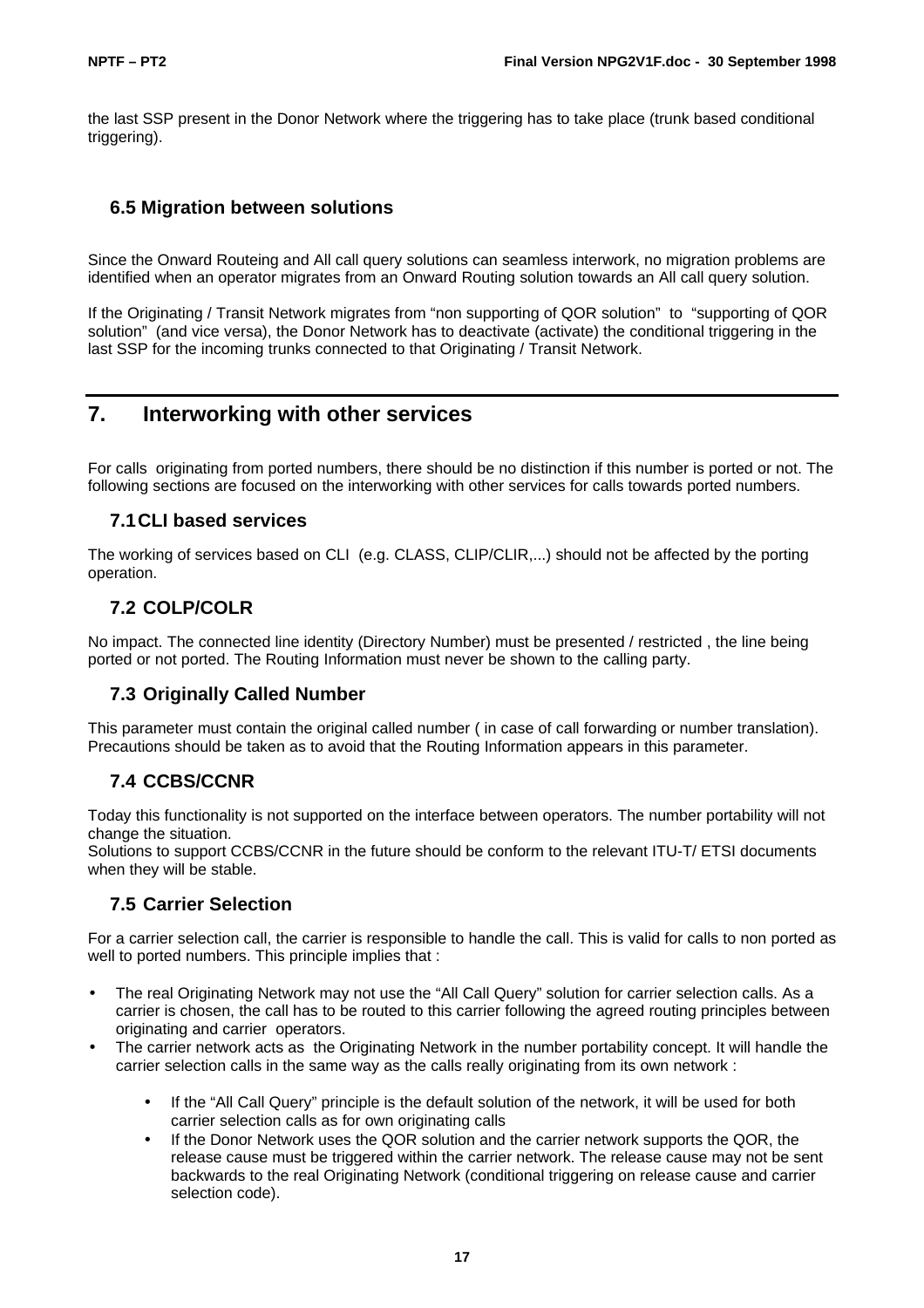the last SSP present in the Donor Network where the triggering has to take place (trunk based conditional triggering).

# **6.5 Migration between solutions**

Since the Onward Routeing and All call query solutions can seamless interwork, no migration problems are identified when an operator migrates from an Onward Routing solution towards an All call query solution.

If the Originating / Transit Network migrates from "non supporting of QOR solution" to "supporting of QOR solution" (and vice versa), the Donor Network has to deactivate (activate) the conditional triggering in the last SSP for the incoming trunks connected to that Originating / Transit Network.

# **7. Interworking with other services**

For calls originating from ported numbers, there should be no distinction if this number is ported or not. The following sections are focused on the interworking with other services for calls towards ported numbers.

# **7.1CLI based services**

The working of services based on CLI (e.g. CLASS, CLIP/CLIR,...) should not be affected by the porting operation.

# **7.2 COLP/COLR**

No impact. The connected line identity (Directory Number) must be presented / restricted , the line being ported or not ported. The Routing Information must never be shown to the calling party.

# **7.3 Originally Called Number**

This parameter must contain the original called number (in case of call forwarding or number translation). Precautions should be taken as to avoid that the Routing Information appears in this parameter.

# **7.4 CCBS/CCNR**

Today this functionality is not supported on the interface between operators. The number portability will not change the situation.

Solutions to support CCBS/CCNR in the future should be conform to the relevant ITU-T/ ETSI documents when they will be stable.

# **7.5 Carrier Selection**

For a carrier selection call, the carrier is responsible to handle the call. This is valid for calls to non ported as well to ported numbers. This principle implies that :

- The real Originating Network may not use the "All Call Query" solution for carrier selection calls. As a carrier is chosen, the call has to be routed to this carrier following the agreed routing principles between originating and carrier operators.
- The carrier network acts as the Originating Network in the number portability concept. It will handle the carrier selection calls in the same way as the calls really originating from its own network :
	- If the "All Call Query" principle is the default solution of the network, it will be used for both carrier selection calls as for own originating calls
	- If the Donor Network uses the QOR solution and the carrier network supports the QOR, the release cause must be triggered within the carrier network. The release cause may not be sent backwards to the real Originating Network (conditional triggering on release cause and carrier selection code).